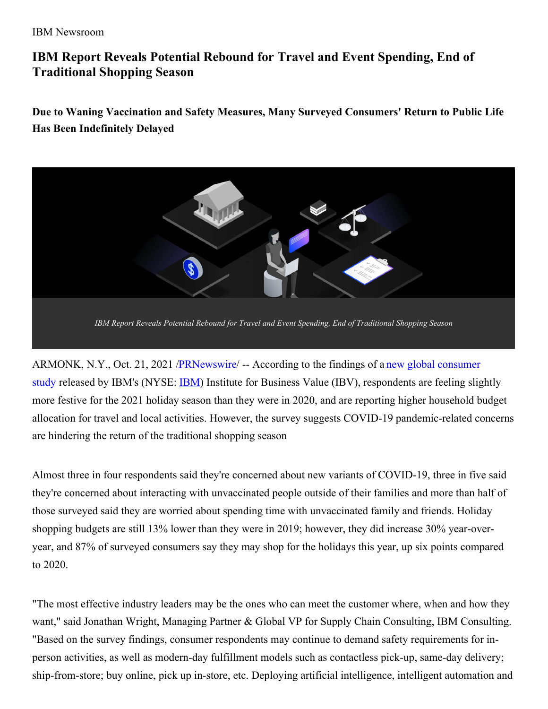#### IBM Newsroom

# **IBM Report Reveals Potential Rebound for Travel and Event Spending, End of Traditional Shopping Season**

**Due to Waning Vaccination and Safety Measures, Many Surveyed Consumers' Return to Public Life Has Been Indefinitely Delayed**



ARMONK, N.Y., Oct. 21, 2021 [/PRNewswire/](https://c212.net/c/link/?t=0&l=en&o=3330621-1&h=1778825232&u=https%3A%2F%2Fwww.ibm.com%2Fthought-leadership%2Finstitute-business-value%2Freport%2F2021-holiday-shopping-travel-outlook&a=new+global+consumer+study) -- According to the findings of a new global consumer study released by [IBM](https://c212.net/c/link/?t=0&l=en&o=3330621-1&h=2891712517&u=https%3A%2F%2Fc212.net%2Fc%2Flink%2F%3Ft%3D0%26l%3Den%26o%3D3122105-1%26h%3D3706127158%26u%3Dhttps%253A%252F%252Fc212.net%252Fc%252Flink%252F%253Ft%253D0%2526l%253Den%2526o%253D2792139-1%2526h%253D4227214371%2526u%253Dhttp%25253A%25252F%25252Fwww.ibm.com%25252Finvestor%2526a%253DIBM%26a%3DIBM&a=IBM)'s (NYSE: **IBM**) Institute for Business Value (IBV), respondents are feeling slightly more festive for the 2021 holiday season than they were in 2020, and are reporting higher household budget allocation for travel and local activities. However, the survey suggests COVID-19 pandemic-related concerns are hindering the return of the traditional shopping season

Almost three in four respondents said they're concerned about new variants of COVID-19, three in five said they're concerned about interacting with unvaccinated people outside of their families and more than half of those surveyed said they are worried about spending time with unvaccinated family and friends. Holiday shopping budgets are still 13% lower than they were in 2019; however, they did increase 30% year-overyear, and 87% of surveyed consumers say they may shop for the holidays this year, up six points compared to 2020.

"The most effective industry leaders may be the ones who can meet the customer where, when and how they want," said Jonathan Wright, Managing Partner & Global VP for Supply Chain Consulting, IBM Consulting. "Based on the survey findings, consumer respondents may continue to demand safety requirements for inperson activities, as well as modern-day fulfillment models such as contactless pick-up, same-day delivery; ship-from-store; buy online, pick up in-store, etc. Deploying artificial intelligence, intelligent automation and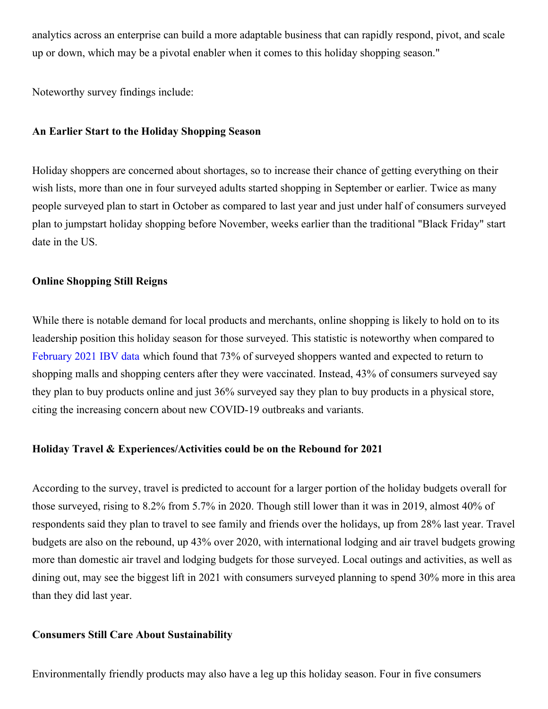analytics across an enterprise can build a more adaptable business that can rapidly respond, pivot, and scale up or down, which may be a pivotal enabler when it comes to this holiday shopping season."

Noteworthy survey findings include:

#### **An Earlier Start to the Holiday Shopping Season**

Holiday shoppers are concerned about shortages, so to increase their chance of getting everything on their wish lists, more than one in four surveyed adults started shopping in September or earlier. Twice as many people surveyed plan to start in October as compared to last year and just under half of consumers surveyed plan to jumpstart holiday shopping before November, weeks earlier than the traditional "Black Friday" start date in the US.

## **Online Shopping Still Reigns**

While there is notable demand for local products and merchants, online shopping is likely to hold on to its leadership position this holiday season for those surveyed. This statistic is noteworthy when compared to [February](https://c212.net/c/link/?t=0&l=en&o=3330621-1&h=3011223408&u=https%3A%2F%2Fwww.ibm.com%2Fthought-leadership%2Finstitute-business-value%2Freport%2Fvaccine-consumer-behavior&a=February+2021+IBV+data) 2021 IBV data which found that 73% of surveyed shoppers wanted and expected to return to shopping malls and shopping centers after they were vaccinated. Instead, 43% of consumers surveyed say they plan to buy products online and just 36% surveyed say they plan to buy products in a physical store, citing the increasing concern about new COVID-19 outbreaks and variants.

#### **Holiday Travel & Experiences/Activities could be on the Rebound for 2021**

According to the survey, travel is predicted to account for a larger portion of the holiday budgets overall for those surveyed, rising to 8.2% from 5.7% in 2020. Though still lower than it was in 2019, almost 40% of respondents said they plan to travel to see family and friends over the holidays, up from 28% last year. Travel budgets are also on the rebound, up 43% over 2020, with international lodging and air travel budgets growing more than domestic air travel and lodging budgets for those surveyed. Local outings and activities, as well as dining out, may see the biggest lift in 2021 with consumers surveyed planning to spend 30% more in this area than they did last year.

## **Consumers Still Care About Sustainability**

Environmentally friendly products may also have a leg up this holiday season. Four in five consumers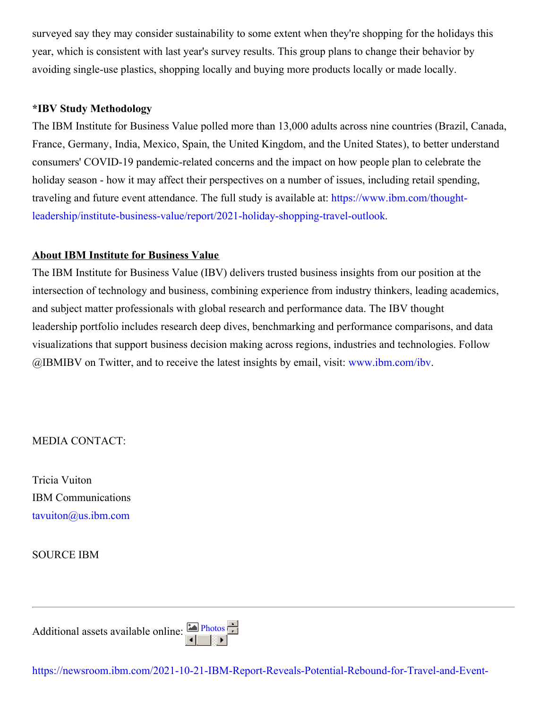surveyed say they may consider sustainability to some extent when they're shopping for the holidays this year, which is consistent with last year's survey results. This group plans to change their behavior by avoiding single-use plastics, shopping locally and buying more products locally or made locally.

## **\*IBV Study Methodology**

The IBM Institute for Business Value polled more than 13,000 adults across nine countries (Brazil, Canada, France, Germany, India, Mexico, Spain, the United Kingdom, and the United States), to better understand consumers' COVID-19 pandemic-related concerns and the impact on how people plan to celebrate the holiday season - how it may affect their perspectives on a number of issues, including retail spending, traveling and future event attendance. The full study is available at: https://www.ibm.com/thought[leadership/institute-business-value/report/2021-holiday-shopping-travel-outlook.](https://c212.net/c/link/?t=0&l=en&o=3330621-1&h=717277561&u=https%3A%2F%2Fwww.ibm.com%2Fthought-leadership%2Finstitute-business-value%2Freport%2F2021-holiday-shopping-travel-outlook&a=https%3A%2F%2Fwww.ibm.com%2Fthought-leadership%2Finstitute-business-value%2Freport%2F2021-holiday-shopping-travel-outlook)

## **About IBM Institute for Business Value**

The IBM Institute for Business Value (IBV) delivers trusted business insights from our position at the intersection of technology and business, combining experience from industry thinkers, leading academics, and subject matter professionals with global research and performance data. The IBV thought leadership portfolio includes research deep dives, benchmarking and performance comparisons, and data visualizations that support business decision making across regions, industries and technologies. Follow @IBMIBV on Twitter, and to receive the latest insights by email, visit: [www.ibm.com/ibv](https://c212.net/c/link/?t=0&l=en&o=3330621-1&h=1140697335&u=https%3A%2F%2Fc212.net%2Fc%2Flink%2F%3Ft%3D0%26l%3Den%26o%3D3122105-1%26h%3D1794740742%26u%3Dhttps%253A%252F%252Fc212.net%252Fc%252Flink%252F%253Ft%253D0%2526l%253Den%2526o%253D2983899-1%2526h%253D3615251009%2526u%253Dhttps%25253A%25252F%25252Fc212.net%25252Fc%25252Flink%25252F%25253Ft%25253D0%252526l%25253Den%252526o%25253D2905859-1%252526h%25253D495979337%252526u%25253Dhttp%2525253A%2525252F%2525252Fwww.ibm.com%2525252Fibv%252526a%25253Dwww.ibm.com%2525252Fibv%2526a%253Dwww.ibm.com%25252Fibv%26a%3Dwww.ibm.com%252Fibv&a=www.ibm.com%2Fibv).

MEDIA CONTACT:

Tricia Vuiton IBM Communications [tavuiton@us.ibm.com](mailto:tavuiton@us.ibm.com)

SOURCE IBM